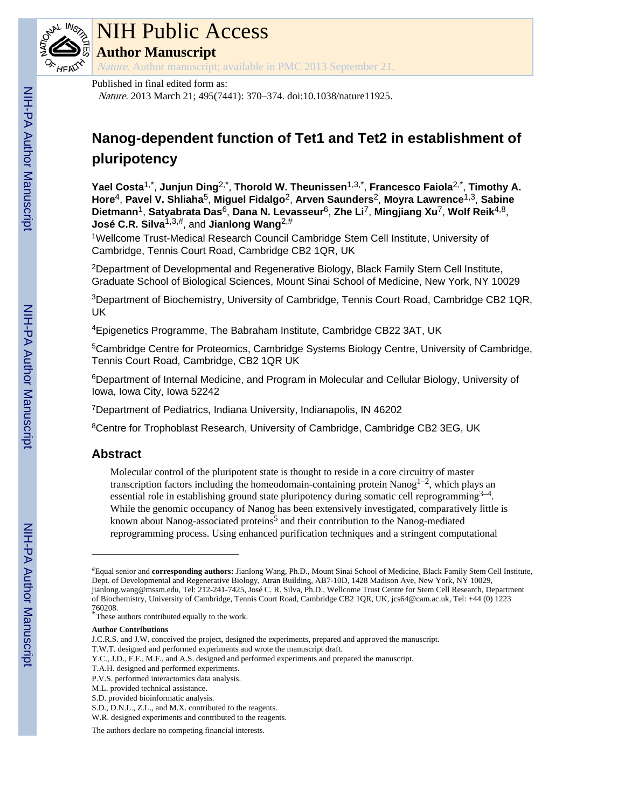

# NIH Public Access

**Author Manuscript**

Nature. Author manuscript; available in PMC 2013 September 21.

#### Published in final edited form as:

Nature. 2013 March 21; 495(7441): 370–374. doi:10.1038/nature11925.

## **Nanog-dependent function of Tet1 and Tet2 in establishment of pluripotency**

**Yael Costa**1,\* , **Junjun Ding**2,\* , **Thorold W. Theunissen**1,3,\* , **Francesco Faiola**2,\* , **Timothy A. Hore**4, **Pavel V. Shliaha**5, **Miguel Fidalgo**2, **Arven Saunders**2, **Moyra Lawrence**1,3, **Sabine Dietmann**1, **Satyabrata Das**6, **Dana N. Levasseur**6, **Zhe Li**7, **Mingjiang Xu**7, **Wolf Reik**4,8, **José C.R. Silva**1,3,#, and **Jianlong Wang**2,#

<sup>1</sup>Wellcome Trust-Medical Research Council Cambridge Stem Cell Institute, University of Cambridge, Tennis Court Road, Cambridge CB2 1QR, UK

<sup>2</sup>Department of Developmental and Regenerative Biology, Black Family Stem Cell Institute, Graduate School of Biological Sciences, Mount Sinai School of Medicine, New York, NY 10029

<sup>3</sup>Department of Biochemistry, University of Cambridge, Tennis Court Road, Cambridge CB2 1QR, UK

<sup>4</sup>Epigenetics Programme, The Babraham Institute, Cambridge CB22 3AT, UK

<sup>5</sup>Cambridge Centre for Proteomics, Cambridge Systems Biology Centre, University of Cambridge, Tennis Court Road, Cambridge, CB2 1QR UK

<sup>6</sup>Department of Internal Medicine, and Program in Molecular and Cellular Biology, University of Iowa, Iowa City, Iowa 52242

<sup>7</sup>Department of Pediatrics, Indiana University, Indianapolis, IN 46202

<sup>8</sup>Centre for Trophoblast Research, University of Cambridge, Cambridge CB2 3EG, UK

### **Abstract**

Molecular control of the pluripotent state is thought to reside in a core circuitry of master transcription factors including the homeodomain-containing protein Nanog<sup>1-2</sup>, which plays an essential role in establishing ground state pluripotency during somatic cell reprogramming $3-4$ . While the genomic occupancy of Nanog has been extensively investigated, comparatively little is known about Nanog-associated proteins<sup>5</sup> and their contribution to the Nanog-mediated reprogramming process. Using enhanced purification techniques and a stringent computational

<sup>#</sup>Equal senior and **corresponding authors:** Jianlong Wang, Ph.D., Mount Sinai School of Medicine, Black Family Stem Cell Institute, Dept. of Developmental and Regenerative Biology, Atran Building, AB7-10D, 1428 Madison Ave, New York, NY 10029, jianlong.wang@mssm.edu, Tel: 212-241-7425, José C. R. Silva, Ph.D., Wellcome Trust Centre for Stem Cell Research, Department of Biochemistry, University of Cambridge, Tennis Court Road, Cambridge CB2 1QR, UK, jcs64@cam.ac.uk, Tel: +44 (0) 1223 760208.

<sup>\*</sup>These authors contributed equally to the work.

**Author Contributions**

J.C.R.S. and J.W. conceived the project, designed the experiments, prepared and approved the manuscript. T.W.T. designed and performed experiments and wrote the manuscript draft.

Y.C., J.D., F.F., M.F., and A.S. designed and performed experiments and prepared the manuscript.

T.A.H. designed and performed experiments.

P.V.S. performed interactomics data analysis.

M.L. provided technical assistance.

S.D. provided bioinformatic analysis.

S.D., D.N.L., Z.L., and M.X. contributed to the reagents.

W.R. designed experiments and contributed to the reagents.

The authors declare no competing financial interests.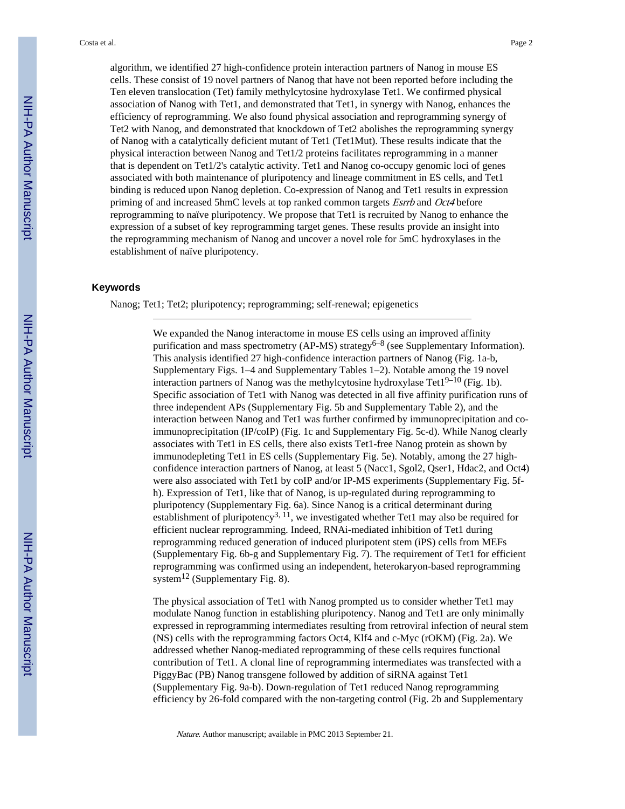algorithm, we identified 27 high-confidence protein interaction partners of Nanog in mouse ES cells. These consist of 19 novel partners of Nanog that have not been reported before including the Ten eleven translocation (Tet) family methylcytosine hydroxylase Tet1. We confirmed physical association of Nanog with Tet1, and demonstrated that Tet1, in synergy with Nanog, enhances the efficiency of reprogramming. We also found physical association and reprogramming synergy of Tet2 with Nanog, and demonstrated that knockdown of Tet2 abolishes the reprogramming synergy of Nanog with a catalytically deficient mutant of Tet1 (Tet1Mut). These results indicate that the physical interaction between Nanog and Tet1/2 proteins facilitates reprogramming in a manner that is dependent on Tet1/2's catalytic activity. Tet1 and Nanog co-occupy genomic loci of genes associated with both maintenance of pluripotency and lineage commitment in ES cells, and Tet1 binding is reduced upon Nanog depletion. Co-expression of Nanog and Tet1 results in expression priming of and increased 5hmC levels at top ranked common targets Esrrb and Oct4 before reprogramming to naïve pluripotency. We propose that Tet1 is recruited by Nanog to enhance the expression of a subset of key reprogramming target genes. These results provide an insight into the reprogramming mechanism of Nanog and uncover a novel role for 5mC hydroxylases in the establishment of naïve pluripotency.

#### **Keywords**

Nanog; Tet1; Tet2; pluripotency; reprogramming; self-renewal; epigenetics

We expanded the Nanog interactome in mouse ES cells using an improved affinity purification and mass spectrometry (AP-MS) strategy<sup>6–8</sup> (see Supplementary Information). This analysis identified 27 high-confidence interaction partners of Nanog (Fig. 1a-b, Supplementary Figs. 1–4 and Supplementary Tables 1–2). Notable among the 19 novel interaction partners of Nanog was the methylcytosine hydroxylase Tet $1^{9-10}$  (Fig. 1b). Specific association of Tet1 with Nanog was detected in all five affinity purification runs of three independent APs (Supplementary Fig. 5b and Supplementary Table 2), and the interaction between Nanog and Tet1 was further confirmed by immunoprecipitation and coimmunoprecipitation (IP/coIP) (Fig. 1c and Supplementary Fig. 5c-d). While Nanog clearly associates with Tet1 in ES cells, there also exists Tet1-free Nanog protein as shown by immunodepleting Tet1 in ES cells (Supplementary Fig. 5e). Notably, among the 27 highconfidence interaction partners of Nanog, at least 5 (Nacc1, Sgol2, Qser1, Hdac2, and Oct4) were also associated with Tet1 by coIP and/or IP-MS experiments (Supplementary Fig. 5fh). Expression of Tet1, like that of Nanog, is up-regulated during reprogramming to pluripotency (Supplementary Fig. 6a). Since Nanog is a critical determinant during establishment of pluripotency<sup>3,  $\bar{1}$ 1</sup>, we investigated whether Tet1 may also be required for efficient nuclear reprogramming. Indeed, RNAi-mediated inhibition of Tet1 during reprogramming reduced generation of induced pluripotent stem (iPS) cells from MEFs (Supplementary Fig. 6b-g and Supplementary Fig. 7). The requirement of Tet1 for efficient reprogramming was confirmed using an independent, heterokaryon-based reprogramming system<sup>12</sup> (Supplementary Fig. 8).

The physical association of Tet1 with Nanog prompted us to consider whether Tet1 may modulate Nanog function in establishing pluripotency. Nanog and Tet1 are only minimally expressed in reprogramming intermediates resulting from retroviral infection of neural stem (NS) cells with the reprogramming factors Oct4, Klf4 and c-Myc (rOKM) (Fig. 2a). We addressed whether Nanog-mediated reprogramming of these cells requires functional contribution of Tet1. A clonal line of reprogramming intermediates was transfected with a PiggyBac (PB) Nanog transgene followed by addition of siRNA against Tet1 (Supplementary Fig. 9a-b). Down-regulation of Tet1 reduced Nanog reprogramming efficiency by 26-fold compared with the non-targeting control (Fig. 2b and Supplementary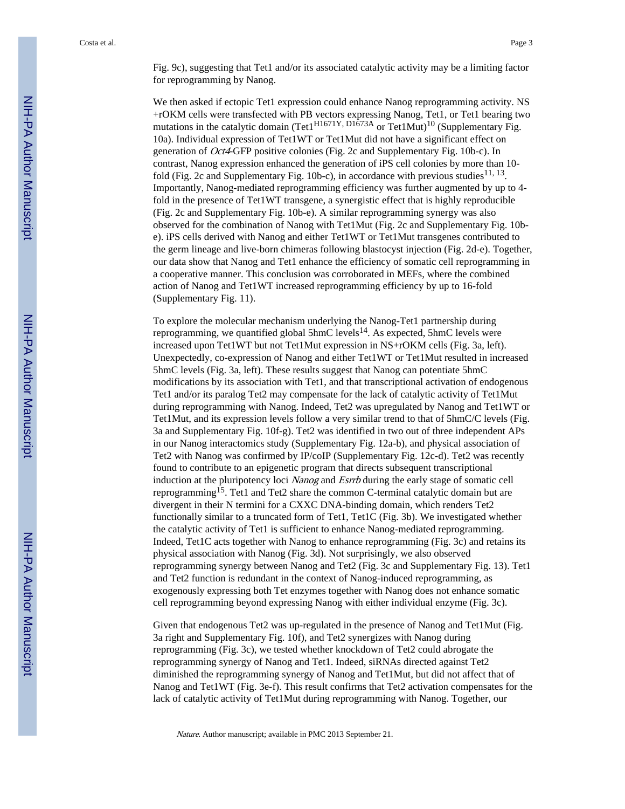Fig. 9c), suggesting that Tet1 and/or its associated catalytic activity may be a limiting factor for reprogramming by Nanog.

We then asked if ectopic Tet1 expression could enhance Nanog reprogramming activity. NS +rOKM cells were transfected with PB vectors expressing Nanog, Tet1, or Tet1 bearing two mutations in the catalytic domain (Tet1H1671Y, D1673A or Tet1Mut)<sup>10</sup> (Supplementary Fig. 10a). Individual expression of Tet1WT or Tet1Mut did not have a significant effect on generation of Oct4-GFP positive colonies (Fig. 2c and Supplementary Fig. 10b-c). In contrast, Nanog expression enhanced the generation of iPS cell colonies by more than 10 fold (Fig. 2c and Supplementary Fig. 10b-c), in accordance with previous studies  $11, 13$ . Importantly, Nanog-mediated reprogramming efficiency was further augmented by up to 4 fold in the presence of Tet1WT transgene, a synergistic effect that is highly reproducible (Fig. 2c and Supplementary Fig. 10b-e). A similar reprogramming synergy was also observed for the combination of Nanog with Tet1Mut (Fig. 2c and Supplementary Fig. 10be). iPS cells derived with Nanog and either Tet1WT or Tet1Mut transgenes contributed to the germ lineage and live-born chimeras following blastocyst injection (Fig. 2d-e). Together, our data show that Nanog and Tet1 enhance the efficiency of somatic cell reprogramming in a cooperative manner. This conclusion was corroborated in MEFs, where the combined action of Nanog and Tet1WT increased reprogramming efficiency by up to 16-fold (Supplementary Fig. 11).

To explore the molecular mechanism underlying the Nanog-Tet1 partnership during reprogramming, we quantified global 5hmC levels<sup>14</sup>. As expected, 5hmC levels were increased upon Tet1WT but not Tet1Mut expression in NS+rOKM cells (Fig. 3a, left). Unexpectedly, co-expression of Nanog and either Tet1WT or Tet1Mut resulted in increased 5hmC levels (Fig. 3a, left). These results suggest that Nanog can potentiate 5hmC modifications by its association with Tet1, and that transcriptional activation of endogenous Tet1 and/or its paralog Tet2 may compensate for the lack of catalytic activity of Tet1Mut during reprogramming with Nanog. Indeed, Tet2 was upregulated by Nanog and Tet1WT or Tet1Mut, and its expression levels follow a very similar trend to that of 5hmC/C levels (Fig. 3a and Supplementary Fig. 10f-g). Tet2 was identified in two out of three independent APs in our Nanog interactomics study (Supplementary Fig. 12a-b), and physical association of Tet2 with Nanog was confirmed by IP/coIP (Supplementary Fig. 12c-d). Tet2 was recently found to contribute to an epigenetic program that directs subsequent transcriptional induction at the pluripotency loci Nanog and Esrrb during the early stage of somatic cell reprogramming15. Tet1 and Tet2 share the common C-terminal catalytic domain but are divergent in their N termini for a CXXC DNA-binding domain, which renders Tet2 functionally similar to a truncated form of Tet1, Tet1C (Fig. 3b). We investigated whether the catalytic activity of Tet1 is sufficient to enhance Nanog-mediated reprogramming. Indeed, Tet1C acts together with Nanog to enhance reprogramming (Fig. 3c) and retains its physical association with Nanog (Fig. 3d). Not surprisingly, we also observed reprogramming synergy between Nanog and Tet2 (Fig. 3c and Supplementary Fig. 13). Tet1 and Tet2 function is redundant in the context of Nanog-induced reprogramming, as exogenously expressing both Tet enzymes together with Nanog does not enhance somatic cell reprogramming beyond expressing Nanog with either individual enzyme (Fig. 3c).

Given that endogenous Tet2 was up-regulated in the presence of Nanog and Tet1Mut (Fig. 3a right and Supplementary Fig. 10f), and Tet2 synergizes with Nanog during reprogramming (Fig. 3c), we tested whether knockdown of Tet2 could abrogate the reprogramming synergy of Nanog and Tet1. Indeed, siRNAs directed against Tet2 diminished the reprogramming synergy of Nanog and Tet1Mut, but did not affect that of Nanog and Tet1WT (Fig. 3e-f). This result confirms that Tet2 activation compensates for the lack of catalytic activity of Tet1Mut during reprogramming with Nanog. Together, our

Nature. Author manuscript; available in PMC 2013 September 21.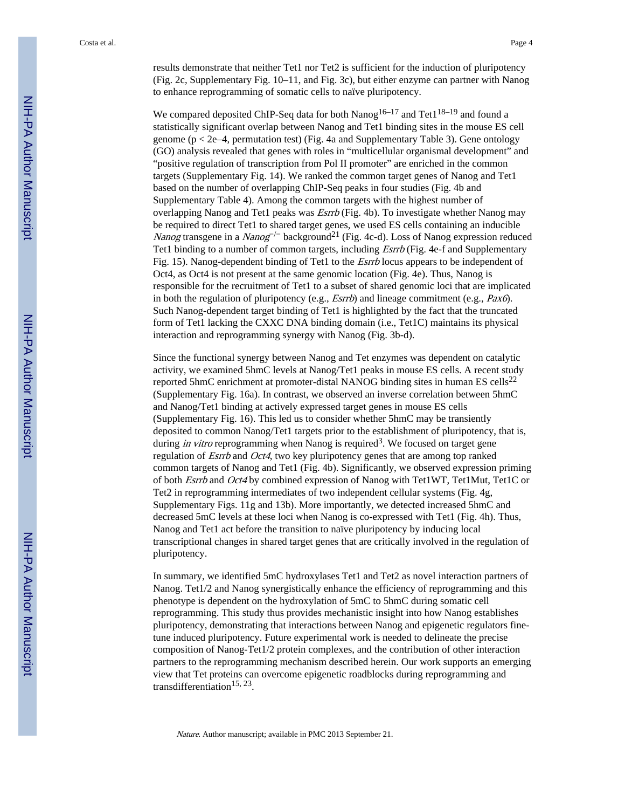results demonstrate that neither Tet1 nor Tet2 is sufficient for the induction of pluripotency (Fig. 2c, Supplementary Fig. 10–11, and Fig. 3c), but either enzyme can partner with Nanog to enhance reprogramming of somatic cells to naïve pluripotency.

We compared deposited ChIP-Seq data for both Nanog<sup>16–17</sup> and Tet1<sup>18–19</sup> and found a statistically significant overlap between Nanog and Tet1 binding sites in the mouse ES cell genome ( $p < 2e-4$ , permutation test) (Fig. 4a and Supplementary Table 3). Gene ontology (GO) analysis revealed that genes with roles in "multicellular organismal development" and "positive regulation of transcription from Pol II promoter" are enriched in the common targets (Supplementary Fig. 14). We ranked the common target genes of Nanog and Tet1 based on the number of overlapping ChIP-Seq peaks in four studies (Fig. 4b and Supplementary Table 4). Among the common targets with the highest number of overlapping Nanog and Tet1 peaks was *Esrrb* (Fig. 4b). To investigate whether Nanog may be required to direct Tet1 to shared target genes, we used ES cells containing an inducible Nanog transgene in a Nanog<sup>-/-</sup> background<sup>21</sup> (Fig. 4c-d). Loss of Nanog expression reduced Tet1 binding to a number of common targets, including *Esrrb* (Fig. 4e-f and Supplementary Fig. 15). Nanog-dependent binding of Tet1 to the *Esrrb* locus appears to be independent of Oct4, as Oct4 is not present at the same genomic location (Fig. 4e). Thus, Nanog is responsible for the recruitment of Tet1 to a subset of shared genomic loci that are implicated in both the regulation of pluripotency (e.g., *Esrrb*) and lineage commitment (e.g., *Pax6*). Such Nanog-dependent target binding of Tet1 is highlighted by the fact that the truncated form of Tet1 lacking the CXXC DNA binding domain (i.e., Tet1C) maintains its physical interaction and reprogramming synergy with Nanog (Fig. 3b-d).

Since the functional synergy between Nanog and Tet enzymes was dependent on catalytic activity, we examined 5hmC levels at Nanog/Tet1 peaks in mouse ES cells. A recent study reported 5hmC enrichment at promoter-distal NANOG binding sites in human ES cells<sup>22</sup> (Supplementary Fig. 16a). In contrast, we observed an inverse correlation between 5hmC and Nanog/Tet1 binding at actively expressed target genes in mouse ES cells (Supplementary Fig. 16). This led us to consider whether 5hmC may be transiently deposited to common Nanog/Tet1 targets prior to the establishment of pluripotency, that is, during *in vitro* reprogramming when Nanog is required<sup>3</sup>. We focused on target gene regulation of Esrrb and Oct4, two key pluripotency genes that are among top ranked common targets of Nanog and Tet1 (Fig. 4b). Significantly, we observed expression priming of both Esrrb and Oct4 by combined expression of Nanog with Tet1WT, Tet1Mut, Tet1C or Tet2 in reprogramming intermediates of two independent cellular systems (Fig. 4g, Supplementary Figs. 11g and 13b). More importantly, we detected increased 5hmC and decreased 5mC levels at these loci when Nanog is co-expressed with Tet1 (Fig. 4h). Thus, Nanog and Tet1 act before the transition to naïve pluripotency by inducing local transcriptional changes in shared target genes that are critically involved in the regulation of pluripotency.

In summary, we identified 5mC hydroxylases Tet1 and Tet2 as novel interaction partners of Nanog. Tet1/2 and Nanog synergistically enhance the efficiency of reprogramming and this phenotype is dependent on the hydroxylation of 5mC to 5hmC during somatic cell reprogramming. This study thus provides mechanistic insight into how Nanog establishes pluripotency, demonstrating that interactions between Nanog and epigenetic regulators finetune induced pluripotency. Future experimental work is needed to delineate the precise composition of Nanog-Tet1/2 protein complexes, and the contribution of other interaction partners to the reprogramming mechanism described herein. Our work supports an emerging view that Tet proteins can overcome epigenetic roadblocks during reprogramming and transdifferentiation<sup>15, 23</sup>.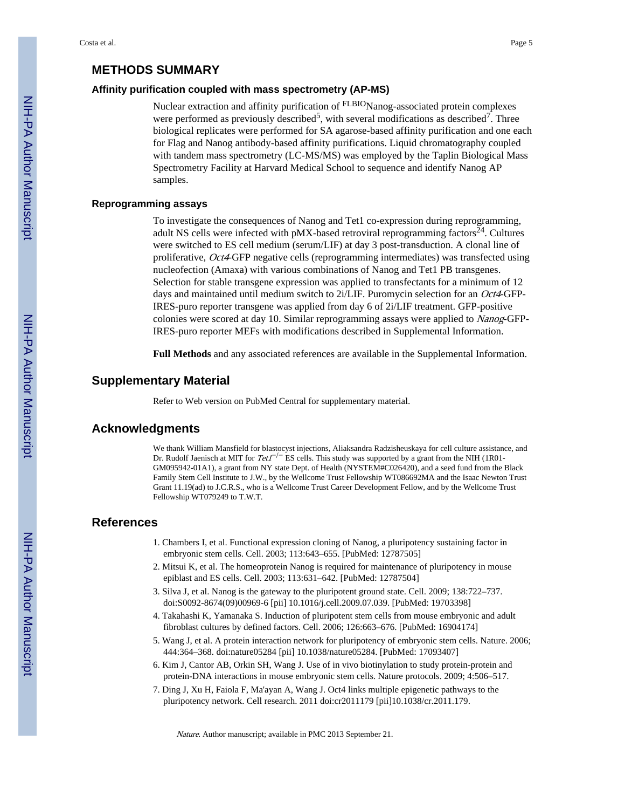#### **METHODS SUMMARY**

#### **Affinity purification coupled with mass spectrometry (AP-MS)**

Nuclear extraction and affinity purification of FLBIONanog-associated protein complexes were performed as previously described<sup>5</sup>, with several modifications as described<sup>7</sup>. Three biological replicates were performed for SA agarose-based affinity purification and one each for Flag and Nanog antibody-based affinity purifications. Liquid chromatography coupled with tandem mass spectrometry (LC-MS/MS) was employed by the Taplin Biological Mass Spectrometry Facility at Harvard Medical School to sequence and identify Nanog AP samples.

#### **Reprogramming assays**

To investigate the consequences of Nanog and Tet1 co-expression during reprogramming, adult NS cells were infected with  $p$ MX-based retroviral reprogramming factors<sup>24</sup>. Cultures were switched to ES cell medium (serum/LIF) at day 3 post-transduction. A clonal line of proliferative, Oct4-GFP negative cells (reprogramming intermediates) was transfected using nucleofection (Amaxa) with various combinations of Nanog and Tet1 PB transgenes. Selection for stable transgene expression was applied to transfectants for a minimum of 12 days and maintained until medium switch to 2i/LIF. Puromycin selection for an *Oct4*-GFP-IRES-puro reporter transgene was applied from day 6 of 2i/LIF treatment. GFP-positive colonies were scored at day 10. Similar reprogramming assays were applied to Nanog-GFP-IRES-puro reporter MEFs with modifications described in Supplemental Information.

**Full Methods** and any associated references are available in the Supplemental Information.

#### **Supplementary Material**

Refer to Web version on PubMed Central for supplementary material.

#### **Acknowledgments**

We thank William Mansfield for blastocyst injections, Aliaksandra Radzisheuskaya for cell culture assistance, and Dr. Rudolf Jaenisch at MIT for  $Tet^{-/-}$  ES cells. This study was supported by a grant from the NIH (1R01-GM095942-01A1), a grant from NY state Dept. of Health (NYSTEM#C026420), and a seed fund from the Black Family Stem Cell Institute to J.W., by the Wellcome Trust Fellowship WT086692MA and the Isaac Newton Trust Grant 11.19(ad) to J.C.R.S., who is a Wellcome Trust Career Development Fellow, and by the Wellcome Trust Fellowship WT079249 to T.W.T.

#### **References**

- 1. Chambers I, et al. Functional expression cloning of Nanog, a pluripotency sustaining factor in embryonic stem cells. Cell. 2003; 113:643–655. [PubMed: 12787505]
- 2. Mitsui K, et al. The homeoprotein Nanog is required for maintenance of pluripotency in mouse epiblast and ES cells. Cell. 2003; 113:631–642. [PubMed: 12787504]
- 3. Silva J, et al. Nanog is the gateway to the pluripotent ground state. Cell. 2009; 138:722–737. doi:S0092-8674(09)00969-6 [pii] 10.1016/j.cell.2009.07.039. [PubMed: 19703398]
- 4. Takahashi K, Yamanaka S. Induction of pluripotent stem cells from mouse embryonic and adult fibroblast cultures by defined factors. Cell. 2006; 126:663–676. [PubMed: 16904174]
- 5. Wang J, et al. A protein interaction network for pluripotency of embryonic stem cells. Nature. 2006; 444:364–368. doi:nature05284 [pii] 10.1038/nature05284. [PubMed: 17093407]
- 6. Kim J, Cantor AB, Orkin SH, Wang J. Use of in vivo biotinylation to study protein-protein and protein-DNA interactions in mouse embryonic stem cells. Nature protocols. 2009; 4:506–517.
- 7. Ding J, Xu H, Faiola F, Ma'ayan A, Wang J. Oct4 links multiple epigenetic pathways to the pluripotency network. Cell research. 2011 doi:cr2011179 [pii]10.1038/cr.2011.179.

Nature. Author manuscript; available in PMC 2013 September 21.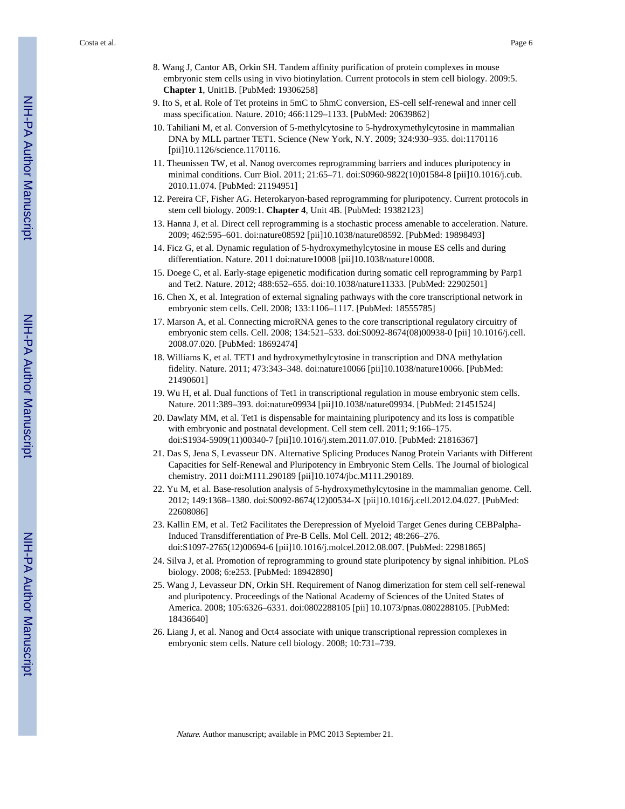Costa et al. Page 6

- 8. Wang J, Cantor AB, Orkin SH. Tandem affinity purification of protein complexes in mouse embryonic stem cells using in vivo biotinylation. Current protocols in stem cell biology. 2009:5. **Chapter 1**, Unit1B. [PubMed: 19306258]
- 9. Ito S, et al. Role of Tet proteins in 5mC to 5hmC conversion, ES-cell self-renewal and inner cell mass specification. Nature. 2010; 466:1129–1133. [PubMed: 20639862]
- 10. Tahiliani M, et al. Conversion of 5-methylcytosine to 5-hydroxymethylcytosine in mammalian DNA by MLL partner TET1. Science (New York, N.Y. 2009; 324:930–935. doi:1170116 [pii]10.1126/science.1170116.
- 11. Theunissen TW, et al. Nanog overcomes reprogramming barriers and induces pluripotency in minimal conditions. Curr Biol. 2011; 21:65–71. doi:S0960-9822(10)01584-8 [pii]10.1016/j.cub. 2010.11.074. [PubMed: 21194951]
- 12. Pereira CF, Fisher AG. Heterokaryon-based reprogramming for pluripotency. Current protocols in stem cell biology. 2009:1. **Chapter 4**, Unit 4B. [PubMed: 19382123]
- 13. Hanna J, et al. Direct cell reprogramming is a stochastic process amenable to acceleration. Nature. 2009; 462:595–601. doi:nature08592 [pii]10.1038/nature08592. [PubMed: 19898493]
- 14. Ficz G, et al. Dynamic regulation of 5-hydroxymethylcytosine in mouse ES cells and during differentiation. Nature. 2011 doi:nature10008 [pii]10.1038/nature10008.
- 15. Doege C, et al. Early-stage epigenetic modification during somatic cell reprogramming by Parp1 and Tet2. Nature. 2012; 488:652–655. doi:10.1038/nature11333. [PubMed: 22902501]
- 16. Chen X, et al. Integration of external signaling pathways with the core transcriptional network in embryonic stem cells. Cell. 2008; 133:1106–1117. [PubMed: 18555785]
- 17. Marson A, et al. Connecting microRNA genes to the core transcriptional regulatory circuitry of embryonic stem cells. Cell. 2008; 134:521–533. doi:S0092-8674(08)00938-0 [pii] 10.1016/j.cell. 2008.07.020. [PubMed: 18692474]
- 18. Williams K, et al. TET1 and hydroxymethylcytosine in transcription and DNA methylation fidelity. Nature. 2011; 473:343–348. doi:nature10066 [pii]10.1038/nature10066. [PubMed: 21490601]
- 19. Wu H, et al. Dual functions of Tet1 in transcriptional regulation in mouse embryonic stem cells. Nature. 2011:389–393. doi:nature09934 [pii]10.1038/nature09934. [PubMed: 21451524]
- 20. Dawlaty MM, et al. Tet1 is dispensable for maintaining pluripotency and its loss is compatible with embryonic and postnatal development. Cell stem cell. 2011; 9:166–175. doi:S1934-5909(11)00340-7 [pii]10.1016/j.stem.2011.07.010. [PubMed: 21816367]
- 21. Das S, Jena S, Levasseur DN. Alternative Splicing Produces Nanog Protein Variants with Different Capacities for Self-Renewal and Pluripotency in Embryonic Stem Cells. The Journal of biological chemistry. 2011 doi:M111.290189 [pii]10.1074/jbc.M111.290189.
- 22. Yu M, et al. Base-resolution analysis of 5-hydroxymethylcytosine in the mammalian genome. Cell. 2012; 149:1368–1380. doi:S0092-8674(12)00534-X [pii]10.1016/j.cell.2012.04.027. [PubMed: 22608086]
- 23. Kallin EM, et al. Tet2 Facilitates the Derepression of Myeloid Target Genes during CEBPalpha-Induced Transdifferentiation of Pre-B Cells. Mol Cell. 2012; 48:266–276. doi:S1097-2765(12)00694-6 [pii]10.1016/j.molcel.2012.08.007. [PubMed: 22981865]
- 24. Silva J, et al. Promotion of reprogramming to ground state pluripotency by signal inhibition. PLoS biology. 2008; 6:e253. [PubMed: 18942890]
- 25. Wang J, Levasseur DN, Orkin SH. Requirement of Nanog dimerization for stem cell self-renewal and pluripotency. Proceedings of the National Academy of Sciences of the United States of America. 2008; 105:6326–6331. doi:0802288105 [pii] 10.1073/pnas.0802288105. [PubMed: 18436640]
- 26. Liang J, et al. Nanog and Oct4 associate with unique transcriptional repression complexes in embryonic stem cells. Nature cell biology. 2008; 10:731–739.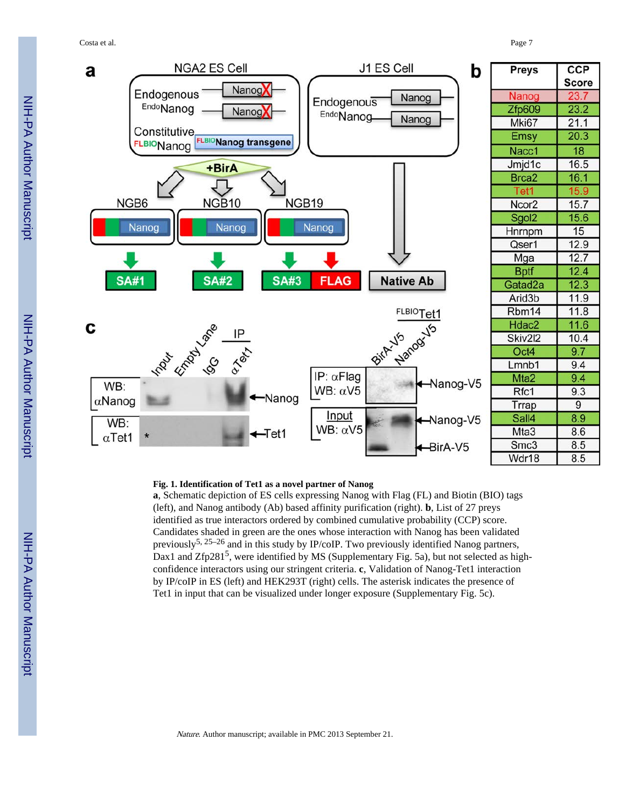Costa et al. Page 7



#### **Fig. 1. Identification of Tet1 as a novel partner of Nanog**

**a**, Schematic depiction of ES cells expressing Nanog with Flag (FL) and Biotin (BIO) tags (left), and Nanog antibody (Ab) based affinity purification (right). **b**, List of 27 preys identified as true interactors ordered by combined cumulative probability (CCP) score. Candidates shaded in green are the ones whose interaction with Nanog has been validated previously<sup>5, 25–26</sup> and in this study by IP/coIP. Two previously identified Nanog partners, Dax1 and Zfp281<sup>5</sup>, were identified by MS (Supplementary Fig. 5a), but not selected as highconfidence interactors using our stringent criteria. **c**, Validation of Nanog-Tet1 interaction by IP/coIP in ES (left) and HEK293T (right) cells. The asterisk indicates the presence of Tet1 in input that can be visualized under longer exposure (Supplementary Fig. 5c).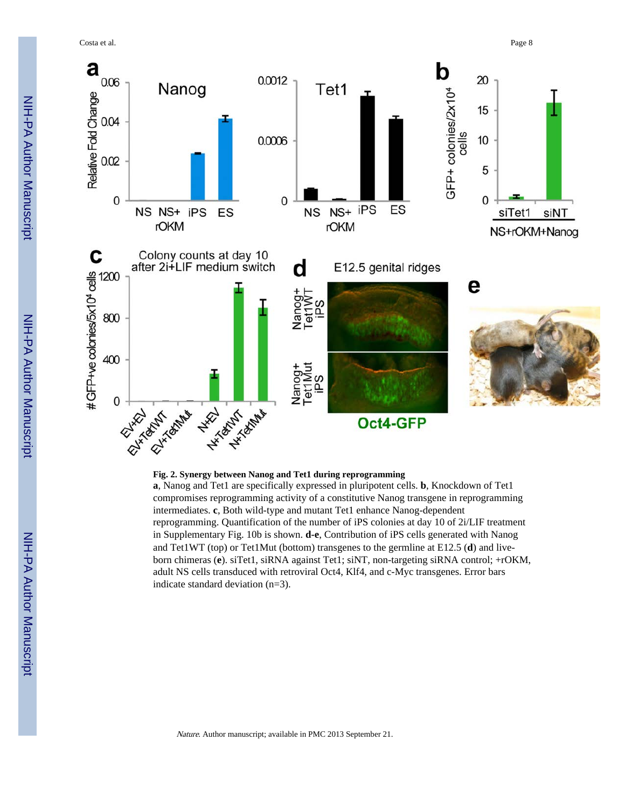Costa et al. Page 8



**a**, Nanog and Tet1 are specifically expressed in pluripotent cells. **b**, Knockdown of Tet1 compromises reprogramming activity of a constitutive Nanog transgene in reprogramming intermediates. **c**, Both wild-type and mutant Tet1 enhance Nanog-dependent reprogramming. Quantification of the number of iPS colonies at day 10 of 2i/LIF treatment in Supplementary Fig. 10b is shown. **d-e**, Contribution of iPS cells generated with Nanog and Tet1WT (top) or Tet1Mut (bottom) transgenes to the germline at E12.5 (**d**) and liveborn chimeras (**e**). siTet1, siRNA against Tet1; siNT, non-targeting siRNA control; +rOKM, adult NS cells transduced with retroviral Oct4, Klf4, and c-Myc transgenes. Error bars indicate standard deviation (n=3).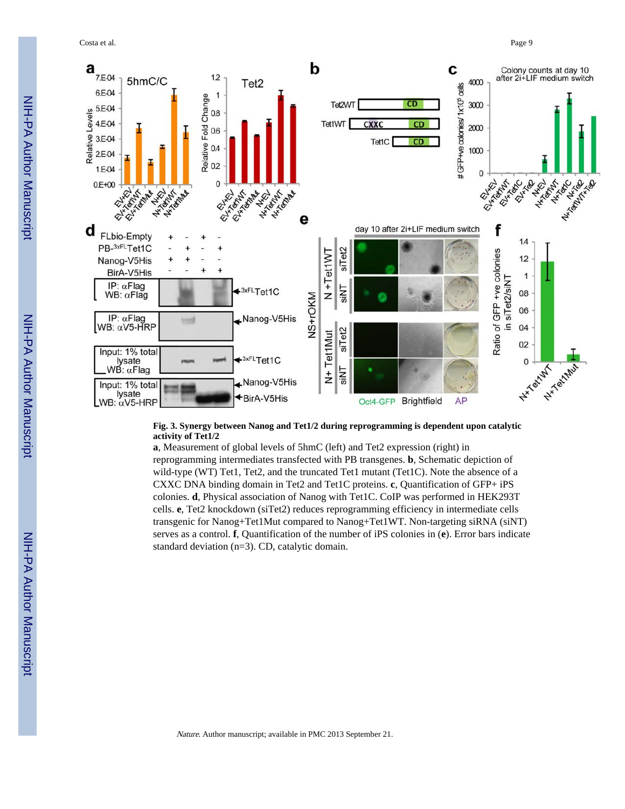Costa et al. Page 9



#### **Fig. 3. Synergy between Nanog and Tet1/2 during reprogramming is dependent upon catalytic activity of Tet1/2**

**a**, Measurement of global levels of 5hmC (left) and Tet2 expression (right) in reprogramming intermediates transfected with PB transgenes. **b**, Schematic depiction of wild-type (WT) Tet1, Tet2, and the truncated Tet1 mutant (Tet1C). Note the absence of a CXXC DNA binding domain in Tet2 and Tet1C proteins. **c**, Quantification of GFP+ iPS colonies. **d**, Physical association of Nanog with Tet1C. CoIP was performed in HEK293T cells. **e**, Tet2 knockdown (siTet2) reduces reprogramming efficiency in intermediate cells transgenic for Nanog+Tet1Mut compared to Nanog+Tet1WT. Non-targeting siRNA (siNT) serves as a control. **f**, Quantification of the number of iPS colonies in (**e**). Error bars indicate standard deviation (n=3). CD, catalytic domain.